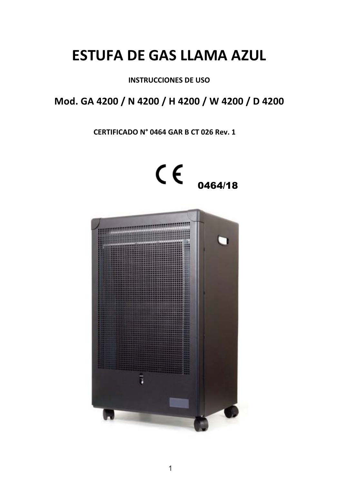# **ESTUFA DE GAS LLAMA AZUL**

## **INSTRUCCIONES DE USO**

# Mod. GA 4200 / N 4200 / H 4200 / W 4200 / D 4200

### CERTIFICADO Nº 0464 GAR B CT 026 Rev. 1

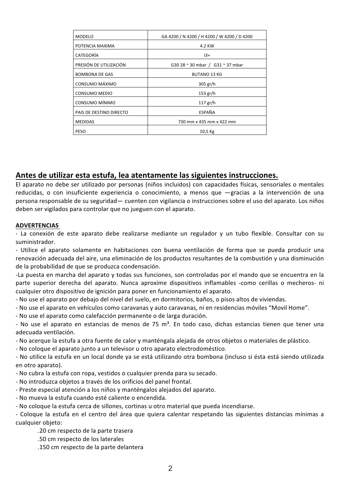| MODELO                  | GA 4200 / N 4200 / H 4200 / W 4200 / D 4200 |
|-------------------------|---------------------------------------------|
| POTENCIA MAXIMA         | 4.2 KW                                      |
| CATEGORÍA               | $13+$                                       |
| PRESIÓN DE UTILIZACIÓN  | G30 28 ~ 30 mbar / G31 ~ 37 mbar            |
| <b>BOMBONA DE GAS</b>   | <b>BUTANO 13 KG</b>                         |
| CONSUMO MÁXIMO          | 305 gr/h                                    |
| <b>CONSUMO MEDIO</b>    | 153 gr/h                                    |
| CONSUMO MÍNIMO          | 117 gr/h                                    |
| PAIS DE DESTINO DIRECTO | ESPAÑA                                      |
| <b>MEDIDAS</b>          | 730 mm x 435 mm x 422 mm                    |
| PESO                    | 10,5 Kg                                     |

#### Antes de utilizar esta estufa, lea atentamente las siguientes instrucciones.

El aparato no debe ser utilizado por personas (niños incluidos) con capacidades físicas, sensoriales o mentales reducidas, o con insuficiente experiencia o conocimiento, a menos que -gracias a la intervención de una persona responsable de su seguridad - cuenten con vigilancia o instrucciones sobre el uso del aparato. Los niños deben ser vigilados para controlar que no jueguen con el aparato.

#### **ADVERTENCIAS**

- La conexión de este aparato debe realizarse mediante un regulador y un tubo flexible. Consultar con su suministrador.

- Utilice el aparato solamente en habitaciones con buena ventilación de forma que se pueda producir una renovación adecuada del aire, una eliminación de los productos resultantes de la combustión y una disminución de la probabilidad de que se produzca condensación.

-La puesta en marcha del aparato y todas sus funciones, son controladas por el mando que se encuentra en la parte superior derecha del aparato. Nunca aproxime dispositivos inflamables -como cerillas o mecheros- ni cualquier otro dispositivo de ignición para poner en funcionamiento el aparato.

- No use el aparato por debajo del nivel del suelo, en dormitorios, baños, o pisos altos de viviendas.
- No use el aparato en vehículos como caravanas y auto caravanas, ni en residencias móviles "Movil Home".

- No use el aparato como calefacción permanente o de larga duración.

- No use el aparato en estancias de menos de 75 m<sup>3</sup>. En todo caso, dichas estancias tienen que tener una adecuada ventilación.

- No acerque la estufa a otra fuente de calor y manténgala alejada de otros objetos o materiales de plástico.
- No coloque el aparato junto a un televisor u otro aparato electrodoméstico.

- No utilice la estufa en un local donde ya se está utilizando otra bombona (incluso si ésta está siendo utilizada en otro aparato).

- No cubra la estufa con ropa, vestidos o cualquier prenda para su secado.
- No introduzca objetos a través de los orificios del panel frontal.
- Preste especial atención a los niños y manténgalos alejados del aparato.
- No mueva la estufa cuando esté caliente o encendida.
- No coloque la estufa cerca de sillones, cortinas u otro material que pueda incendiarse.

- Cologue la estufa en el centro del área que quiera calentar respetando las siguientes distancias mínimas a cualquier objeto:

.20 cm respecto de la parte trasera

- .50 cm respecto de los laterales
- .150 cm respecto de la parte delantera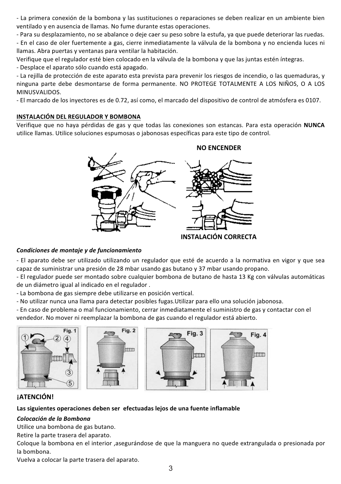- La primera conexión de la bombona y las sustituciones o reparaciones se deben realizar en un ambiente bien ventilado y en ausencia de llamas. No fume durante estas operaciones.

- Para su desplazamiento, no se abalance o deje caer su peso sobre la estufa, ya que puede deteriorar las ruedas.

- En el caso de oler fuertemente a gas, cierre inmediatamente la válvula de la bombona y no encienda luces ni llamas. Abra puertas y ventanas para ventilar la habitación.

Verifique que el regulador esté bien colocado en la válvula de la bombona y que las juntas estén íntegras. - Desplace el aparato sólo cuando está apagado.

- La rejilla de protección de este aparato esta prevista para prevenir los riesgos de incendio, o las quemaduras, y ninguna parte debe desmontarse de forma permanente. NO PROTEGE TOTALMENTE A LOS NIÑOS, O A LOS MINUSVALIDOS.

- El marcado de los inyectores es de 0.72, así como, el marcado del dispositivo de control de atmósfera es 0107.

#### INSTALACIÓN DEL REGULADOR Y BOMBONA

Verifique que no haya pérdidas de gas y que todas las conexiones son estancas. Para esta operación NUNCA utilice llamas. Utilice soluciones espumosas o jabonosas específicas para este tipo de control.



#### Condiciones de montaje y de funcionamiento

- El aparato debe ser utilizado utilizando un regulador que esté de acuerdo a la normativa en vigor y que sea capaz de suministrar una presión de 28 mbar usando gas butano y 37 mbar usando propano.

- El regulador puede ser montado sobre cualquier bombona de butano de hasta 13 Kg con válvulas automáticas de un diámetro igual al indicado en el regulador.

- La bombona de gas siempre debe utilizarse en posición vertical.

- No utilizar nunca una llama para detectar posibles fugas. Utilizar para ello una solución iabonosa.

- En caso de problema o mal funcionamiento, cerrar inmediatamente el suministro de gas y contactar con el vendedor. No mover ni reemplazar la bombona de gas cuando el regulador está abierto.



#### **iATENCIÓN!**

Las siguientes operaciones deben ser efectuadas lejos de una fuente inflamable

#### Colocación de la Bombona

Utilice una bombona de gas butano.

Retire la parte trasera del aparato.

Cologue la bombona en el interior, asegurándose de que la manguera no quede extrangulada o presionada por la bombona.

Vuelva a colocar la parte trasera del aparato.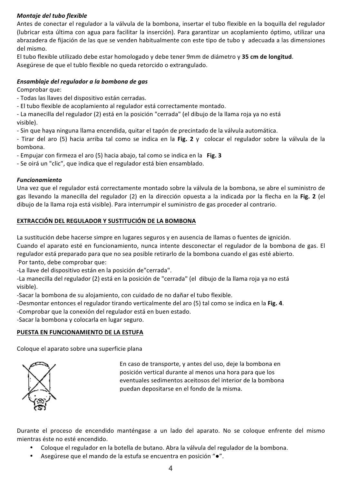#### Montaje del tubo flexible

Antes de conectar el regulador a la válvula de la bombona, insertar el tubo flexible en la boquilla del regulador (lubricar esta última con agua para facilitar la inserción). Para garantizar un acoplamiento óptimo, utilizar una abrazadera de fijación de las que se venden habitualmente con este tipo de tubo y adecuada a las dimensiones del mismo.

El tubo flexible utilizado debe estar homologado y debe tener 9mm de diámetro y 35 cm de longitud. Asegúrese de que el tublo flexible no queda retorcido o extrangulado.

#### Ensamblaje del regulador a la bombona de gas

Comprobar que:

- Todas las llaves del dispositivo están cerradas.
- El tubo flexible de acoplamiento al regulador está correctamente montado.

- La manecilla del regulador (2) está en la posición "cerrada" (el dibujo de la llama roja ya no está visible).

- Sin que haya ninguna llama encendida, quitar el tapón de precintado de la válvula automática.

- Tirar del aro (5) hacia arriba tal como se indica en la Fig. 2 y colocar el regulador sobre la válvula de la hombona

- Empujar con firmeza el aro (5) hacia abajo, tal como se indica en la Fig. 3

- Se oirá un "clic", que indica que el regulador está bien ensamblado.

#### **Funcionamiento**

Una vez que el regulador está correctamente montado sobre la válvula de la bombona, se abre el suministro de gas llevando la manecilla del regulador (2) en la dirección opuesta a la indicada por la flecha en la Fig. 2 (el dibujo de la llama roja está visible). Para interrumpir el suministro de gas proceder al contrario.

#### EXTRACCIÓN DEL REGULADOR Y SUSTITUCIÓN DE LA BOMBONA

La sustitución debe hacerse simpre en lugares seguros y en ausencia de llamas o fuentes de ignición.

Cuando el aparato esté en funcionamiento, nunca intente desconectar el regulador de la bombona de gas. El regulador está preparado para que no sea posible retirarlo de la bombona cuando el gas esté abierto.

Por tanto, debe comprobar que:

-La llave del dispositivo están en la posición de"cerrada".

-La manecilla del regulador (2) está en la posición de "cerrada" (el dibujo de la llama roja ya no está visible).

-Sacar la bombona de su alojamiento, con cuidado de no dañar el tubo flexible.

-Desmontar entonces el regulador tirando verticalmente del aro (5) tal como se indica en la Fig. 4.

-Comprobar que la conexión del regulador está en buen estado.

-Sacar la bombona y colocarla en lugar seguro.

#### PUESTA EN FUNCIONAMIENTO DE LA ESTUFA

Coloque el aparato sobre una superficie plana



En caso de transporte, y antes del uso, deje la bombona en posición vertical durante al menos una hora para que los eventuales sedimentos aceitosos del interior de la bombona puedan depositarse en el fondo de la misma.

Durante el proceso de encendido manténgase a un lado del aparato. No se cologue enfrente del mismo mientras éste no esté encendido

- Cologue el regulador en la botella de butano. Abra la válvula del regulador de la bombona.
- Asegúrese que el mando de la estufa se encuentra en posición " $\bullet$ ".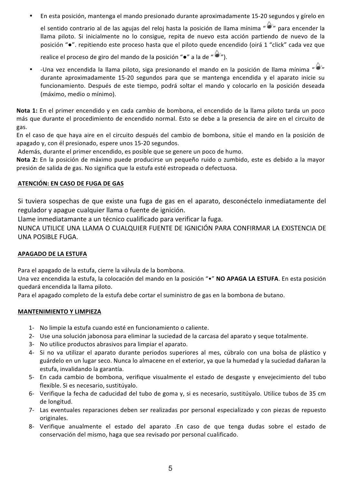En esta posición, mantenga el mando presionado durante aproximadamente 15-20 segundos y gírelo en

el sentido contrario al de las agujas del reloj hasta la posición de llama mínima "O" para encender la llama piloto. Si inicialmente no lo consigue, repita de nuevo esta acción partiendo de nuevo de la posición "·". repitiendo este proceso hasta que el piloto quede encendido (oirá 1 "click" cada vez que

realice el proceso de giro del mando de la posición " $\bullet$ " a la de " $\bullet$ "

-Una vez encendida la llama piloto, siga presionando el mando en la posición de llama mínima "O" durante aproximadamente 15-20 segundos para que se mantenga encendida y el aparato inicie su funcionamiento. Después de este tiempo, podrá soltar el mando y colocarlo en la posición deseada (máximo, medio o mínimo).

Nota 1: En el primer encendido y en cada cambio de bombona, el encendido de la llama piloto tarda un poco más que durante el procedimiento de encendido normal. Esto se debe a la presencia de aire en el circuito de gas.

En el caso de que haya aire en el circuito después del cambio de bombona, sitúe el mando en la posición de apagado y, con él presionado, espere unos 15-20 segundos.

Además, durante el primer encendido, es posible que se genere un poco de humo.

Nota 2: En la posición de máximo puede producirse un pequeño ruido o zumbido, este es debido a la mayor presión de salida de gas. No significa que la estufa esté estropeada o defectuosa.

#### ATENCIÓN: EN CASO DE FUGA DE GAS

Si tuviera sospechas de que existe una fuga de gas en el aparato, desconéctelo inmediatamente del regulador y apague cualquier llama o fuente de ignición.

Llame inmediatamante a un técnico cualificado para verificar la fuga.

NUNCA UTILICE UNA LLAMA O CUALQUIER FUENTE DE IGNICIÓN PARA CONFIRMAR LA EXISTENCIA DE UNA POSIBLE FUGA.

#### **APAGADO DE LA ESTUFA**

Para el apagado de la estufa, cierre la válvula de la bombona.

Una vez encendida la estufa, la colocación del mando en la posición "•" NO APAGA LA ESTUFA. En esta posición quedará encendida la llama piloto.

Para el apagado completo de la estufa debe cortar el suministro de gas en la bombona de butano.

#### **MANTENIMIENTO Y LIMPIEZA**

- 1- No limpie la estufa cuando esté en funcionamiento o caliente.
- 2- Use una solución jabonosa para eliminar la suciedad de la carcasa del aparato y seque totalmente.
- 3- No utilice productos abrasivos para limpiar el aparato.
- 4- Si no va utilizar el aparato durante periodos superiores al mes, cúbralo con una bolsa de plástico y guárdelo en un lugar seco. Nunca lo almacene en el exterior, va que la humedad y la suciedad dañaran la estufa, invalidando la garantía.
- 5- En cada cambio de bombona, verifique visualmente el estado de desgaste y envejecimiento del tubo flexible. Si es necesario, sustitúyalo.
- 6- Verifique la fecha de caducidad del tubo de goma y, si es necesario, sustitúyalo. Utilice tubos de 35 cm de longitud.
- 7- Las eventuales reparaciones deben ser realizadas por personal especializado y con piezas de repuesto originales.
- 8- Verifique anualmente el estado del aparato .En caso de que tenga dudas sobre el estado de conservación del mismo, haga que sea revisado por personal cualificado.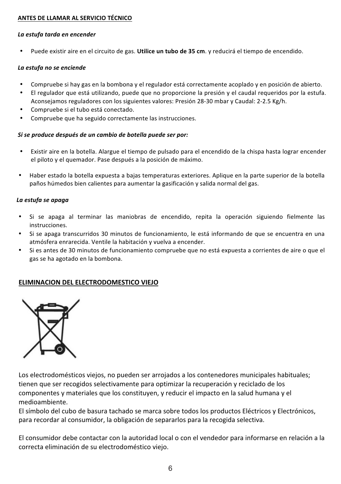#### ANTES DE LLAMAR AL SERVICIO TÉCNICO

#### La estufa tarda en encender

Puede existir aire en el circuito de gas. Utilice un tubo de 35 cm. y reducirá el tiempo de encendido.

#### La estufa no se enciende

- Compruebe si hay gas en la bombona y el regulador está correctamente acoplado y en posición de abierto.
- El regulador que está utilizando, puede que no proporcione la presión y el caudal requeridos por la estufa. Aconsejamos reguladores con los siguientes valores: Presión 28-30 mbar y Caudal: 2-2.5 Kg/h.
- Compruebe si el tubo está conectado.
- Compruebe que ha seguido correctamente las instrucciones.

#### Si se produce después de un cambio de botella puede ser por:

- Existir aire en la botella. Alargue el tiempo de pulsado para el encendido de la chispa hasta lograr encender el piloto y el quemador. Pase después a la posición de máximo.
- Haber estado la botella expuesta a baias temperaturas exteriores. Aplique en la parte superior de la botella paños húmedos bien calientes para aumentar la gasificación y salida normal del gas.

#### La estufa se apaga

- Si se apaga al terminar las maniobras de encendido, repita la operación siguiendo fielmente las instrucciones.
- Si se apaga transcurridos 30 minutos de funcionamiento, le está informando de que se encuentra en una atmósfera enrarecida. Ventile la habitación y vuelva a encender.
- Si es antes de 30 minutos de funcionamiento compruebe que no está expuesta a corrientes de aire o que el gas se ha agotado en la bombona.

#### ELIMINACION DEL ELECTRODOMESTICO VIEJO



Los electrodomésticos viejos, no pueden ser arrojados a los contenedores municipales habituales; tienen que ser recogidos selectivamente para optimizar la recuperación y reciclado de los componentes y materiales que los constituyen, y reducir el impacto en la salud humana y el medioambiente

El símbolo del cubo de basura tachado se marca sobre todos los productos Eléctricos y Electrónicos, para recordar al consumidor, la obligación de separarlos para la recogida selectiva.

El consumidor debe contactar con la autoridad local o con el vendedor para informarse en relación a la correcta eliminación de su electrodoméstico viejo.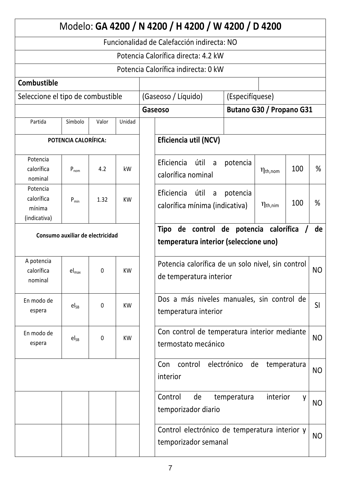|                                                  |                   |              |                                        |                                                                                   | Modelo: GA 4200 / N 4200 / H 4200 / W 4200 / D 4200       |             |                        |                |                |
|--------------------------------------------------|-------------------|--------------|----------------------------------------|-----------------------------------------------------------------------------------|-----------------------------------------------------------|-------------|------------------------|----------------|----------------|
|                                                  |                   |              |                                        |                                                                                   | Funcionalidad de Calefacción indirecta: NO                |             |                        |                |                |
|                                                  |                   |              |                                        |                                                                                   | Potencia Calorífica directa: 4.2 kW                       |             |                        |                |                |
|                                                  |                   |              |                                        |                                                                                   | Potencia Calorífica indirecta: 0 kW                       |             |                        |                |                |
| <b>Combustible</b>                               |                   |              |                                        |                                                                                   |                                                           |             |                        |                |                |
| Seleccione el tipo de combustible                |                   |              | (Gaseoso / Líquido)<br>(Especifíquese) |                                                                                   |                                                           |             |                        |                |                |
|                                                  |                   |              | Butano G30 / Propano G31<br>Gaseoso    |                                                                                   |                                                           |             |                        |                |                |
| Partida                                          | Símbolo           | Valor        | Unidad                                 |                                                                                   |                                                           |             |                        |                |                |
| POTENCIA CALORÍFICA:                             |                   |              |                                        | Eficiencia util (NCV)                                                             |                                                           |             |                        |                |                |
| Potencia<br>calorífica<br>nominal                | $P_{nom}$         | 4.2          | kW                                     |                                                                                   | Eficiencia<br>útil<br>a a<br>calorífica nominal           | potencia    | $\eta_{\text{th,nom}}$ | 100            | %              |
| Potencia<br>calorífica<br>mínima<br>(indicativa) | $P_{min}$         | 1.32         | KW                                     |                                                                                   | Eficiencia<br>útil<br>a<br>calorífica mínima (indicativa) | potencia    | $\eta_{\text{th,nim}}$ | 100            | %              |
| Consumo auxiliar de electricidad                 |                   |              |                                        | Tipo de control de potencia calorífica /<br>temperatura interior (seleccione uno) |                                                           |             |                        | de             |                |
| A potencia<br>calorífica<br>nominal              | $el_{\text{max}}$ | $\mathbf{0}$ | KW                                     | Potencia calorífica de un solo nivel, sin control<br>de temperatura interior      |                                                           |             |                        |                | N <sub>O</sub> |
| En modo de<br>espera                             | $el_{SB}$         | 0            | KW                                     | Dos a más niveles manuales, sin control de<br><b>SI</b><br>temperatura interior   |                                                           |             |                        |                |                |
| En modo de<br>espera                             | $el_{SB}$         | 0            | <b>KW</b>                              | Con control de temperatura interior mediante<br>termostato mecánico               |                                                           |             |                        |                | N <sub>O</sub> |
|                                                  |                   |              |                                        | Con<br>control<br>interior                                                        | electrónico<br>de                                         |             | temperatura            | N <sub>O</sub> |                |
|                                                  |                   |              |                                        |                                                                                   | Control<br>de<br>temporizador diario                      | temperatura | interior               | ٧              | <b>NO</b>      |
|                                                  |                   |              |                                        | Control electrónico de temperatura interior y<br>temporizador semanal             |                                                           |             |                        |                | N <sub>O</sub> |